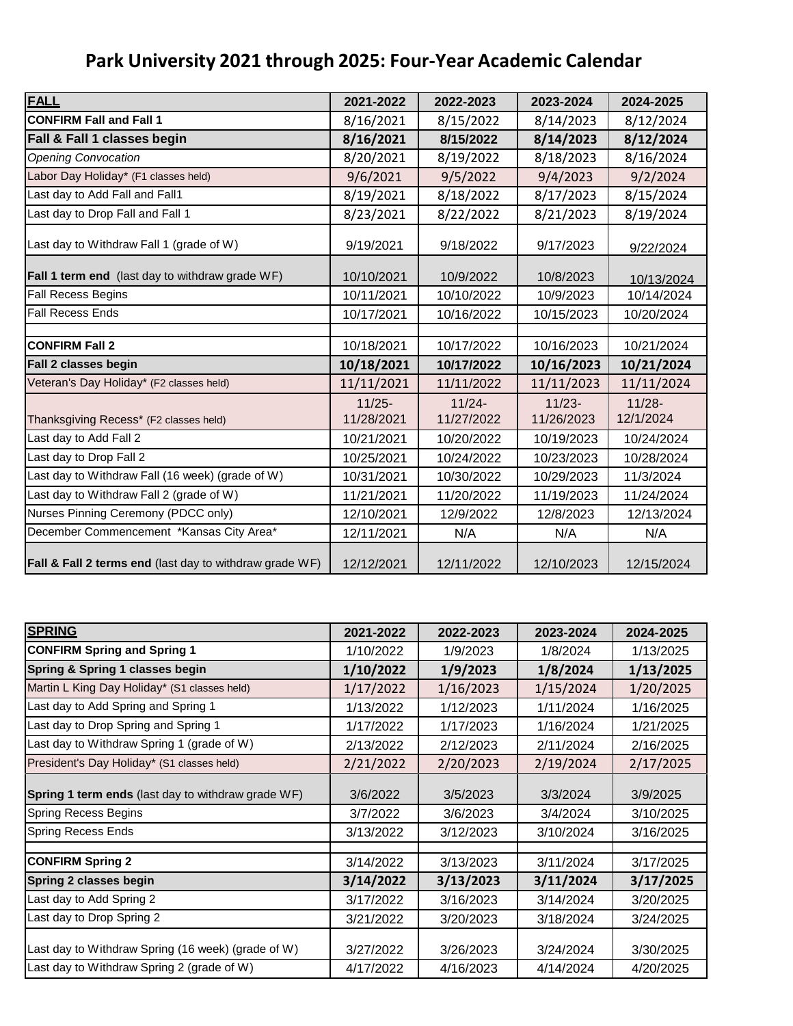## **Park University 2021 through 2025: Four-Year Academic Calendar**

| <b>FALL</b>                                             | 2021-2022  | 2022-2023  | 2023-2024  | 2024-2025  |
|---------------------------------------------------------|------------|------------|------------|------------|
| <b>CONFIRM Fall and Fall 1</b>                          | 8/16/2021  | 8/15/2022  | 8/14/2023  | 8/12/2024  |
| Fall & Fall 1 classes begin                             | 8/16/2021  | 8/15/2022  | 8/14/2023  | 8/12/2024  |
| <b>Opening Convocation</b>                              | 8/20/2021  | 8/19/2022  | 8/18/2023  | 8/16/2024  |
| Labor Day Holiday* (F1 classes held)                    | 9/6/2021   | 9/5/2022   | 9/4/2023   | 9/2/2024   |
| Last day to Add Fall and Fall1                          | 8/19/2021  | 8/18/2022  | 8/17/2023  | 8/15/2024  |
| Last day to Drop Fall and Fall 1                        | 8/23/2021  | 8/22/2022  | 8/21/2023  | 8/19/2024  |
| Last day to Withdraw Fall 1 (grade of W)                | 9/19/2021  | 9/18/2022  | 9/17/2023  | 9/22/2024  |
| Fall 1 term end (last day to withdraw grade WF)         | 10/10/2021 | 10/9/2022  | 10/8/2023  | 10/13/2024 |
| <b>Fall Recess Begins</b>                               | 10/11/2021 | 10/10/2022 | 10/9/2023  | 10/14/2024 |
| <b>Fall Recess Ends</b>                                 | 10/17/2021 | 10/16/2022 | 10/15/2023 | 10/20/2024 |
|                                                         |            |            |            |            |
| <b>CONFIRM Fall 2</b>                                   | 10/18/2021 | 10/17/2022 | 10/16/2023 | 10/21/2024 |
| Fall 2 classes begin                                    | 10/18/2021 | 10/17/2022 | 10/16/2023 | 10/21/2024 |
| Veteran's Day Holiday* (F2 classes held)                | 11/11/2021 | 11/11/2022 | 11/11/2023 | 11/11/2024 |
|                                                         | $11/25 -$  | $11/24 -$  | $11/23 -$  | $11/28 -$  |
| Thanksgiving Recess* (F2 classes held)                  | 11/28/2021 | 11/27/2022 | 11/26/2023 | 12/1/2024  |
| Last day to Add Fall 2                                  | 10/21/2021 | 10/20/2022 | 10/19/2023 | 10/24/2024 |
| Last day to Drop Fall 2                                 | 10/25/2021 | 10/24/2022 | 10/23/2023 | 10/28/2024 |
| Last day to Withdraw Fall (16 week) (grade of W)        | 10/31/2021 | 10/30/2022 | 10/29/2023 | 11/3/2024  |
| Last day to Withdraw Fall 2 (grade of W)                | 11/21/2021 | 11/20/2022 | 11/19/2023 | 11/24/2024 |
| Nurses Pinning Ceremony (PDCC only)                     | 12/10/2021 | 12/9/2022  | 12/8/2023  | 12/13/2024 |
| December Commencement *Kansas City Area*                | 12/11/2021 | N/A        | N/A        | N/A        |
| Fall & Fall 2 terms end (last day to withdraw grade WF) | 12/12/2021 | 12/11/2022 | 12/10/2023 | 12/15/2024 |

| <b>SPRING</b>                                      | 2021-2022 | 2022-2023 | 2023-2024 | 2024-2025 |
|----------------------------------------------------|-----------|-----------|-----------|-----------|
| <b>CONFIRM Spring and Spring 1</b>                 | 1/10/2022 | 1/9/2023  | 1/8/2024  | 1/13/2025 |
| Spring & Spring 1 classes begin                    | 1/10/2022 | 1/9/2023  | 1/8/2024  | 1/13/2025 |
| Martin L King Day Holiday* (S1 classes held)       | 1/17/2022 | 1/16/2023 | 1/15/2024 | 1/20/2025 |
| Last day to Add Spring and Spring 1                | 1/13/2022 | 1/12/2023 | 1/11/2024 | 1/16/2025 |
| Last day to Drop Spring and Spring 1               | 1/17/2022 | 1/17/2023 | 1/16/2024 | 1/21/2025 |
| Last day to Withdraw Spring 1 (grade of W)         | 2/13/2022 | 2/12/2023 | 2/11/2024 | 2/16/2025 |
| President's Day Holiday* (S1 classes held)         | 2/21/2022 | 2/20/2023 | 2/19/2024 | 2/17/2025 |
| Spring 1 term ends (last day to withdraw grade WF) | 3/6/2022  | 3/5/2023  | 3/3/2024  | 3/9/2025  |
| <b>Spring Recess Begins</b>                        | 3/7/2022  | 3/6/2023  | 3/4/2024  | 3/10/2025 |
| <b>Spring Recess Ends</b>                          | 3/13/2022 | 3/12/2023 | 3/10/2024 | 3/16/2025 |
|                                                    |           |           |           |           |
| <b>CONFIRM Spring 2</b>                            | 3/14/2022 | 3/13/2023 | 3/11/2024 | 3/17/2025 |
| Spring 2 classes begin                             | 3/14/2022 | 3/13/2023 | 3/11/2024 | 3/17/2025 |
| Last day to Add Spring 2                           | 3/17/2022 | 3/16/2023 | 3/14/2024 | 3/20/2025 |
| Last day to Drop Spring 2                          | 3/21/2022 | 3/20/2023 | 3/18/2024 | 3/24/2025 |
| Last day to Withdraw Spring (16 week) (grade of W) | 3/27/2022 | 3/26/2023 | 3/24/2024 | 3/30/2025 |
| Last day to Withdraw Spring 2 (grade of W)         | 4/17/2022 | 4/16/2023 | 4/14/2024 | 4/20/2025 |